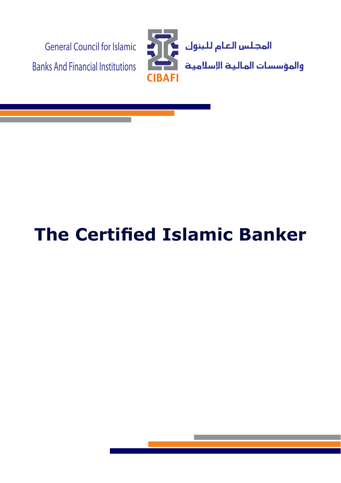

# **The Certified Islamic Banker**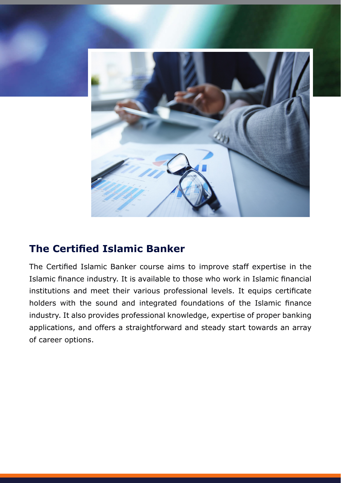

## **The Certified Islamic Banker**

The Certified Islamic Banker course aims to improve staff expertise in the Islamic finance industry. It is available to those who work in Islamic financial institutions and meet their various professional levels. It equips certificate holders with the sound and integrated foundations of the Islamic finance industry. It also provides professional knowledge, expertise of proper banking applications, and offers a straightforward and steady start towards an array of career options.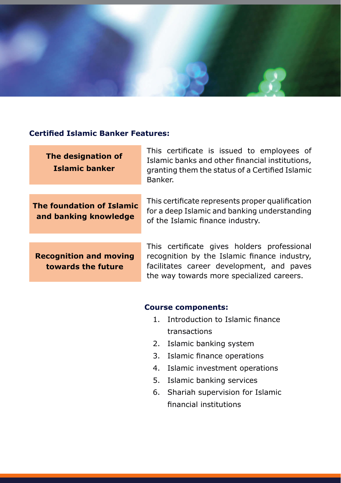

#### **Certified Islamic Banker Features:**

| The designation of<br><b>Islamic banker</b>         | This certificate is issued to employees of<br>Islamic banks and other financial institutions,<br>granting them the status of a Certified Islamic<br>Banker.                           |
|-----------------------------------------------------|---------------------------------------------------------------------------------------------------------------------------------------------------------------------------------------|
| The foundation of Islamic<br>and banking knowledge  | This certificate represents proper qualification<br>for a deep Islamic and banking understanding<br>of the Islamic finance industry.                                                  |
| <b>Recognition and moving</b><br>towards the future | This certificate gives holders professional<br>recognition by the Islamic finance industry,<br>facilitates career development, and paves<br>the way towards more specialized careers. |
|                                                     |                                                                                                                                                                                       |

#### **Course components:**

- 1. Introduction to Islamic finance transactions
- 2. Islamic banking system
- 3. Islamic finance operations
- 4. Islamic investment operations
- 5. Islamic banking services
- 6. Shariah supervision for Islamic financial institutions